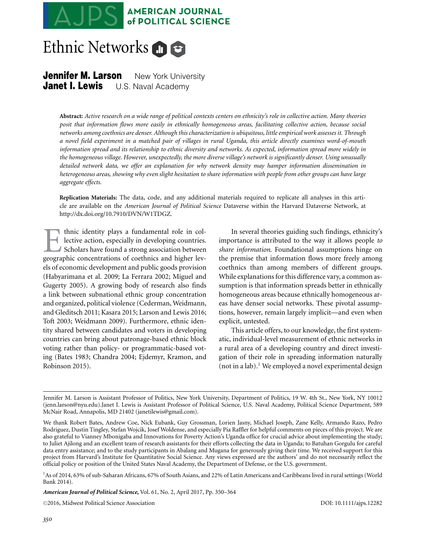# **AMERICAN JOURNAL** of POLITICAL SCIENCE

# Ethnic Networks

**Jennifer M. Larson** New York University **Janet I. Lewis** U.S. Naval Academy

> **Abstract:** *Active research on a wide range of political contexts centers on ethnicity's role in collective action. Many theories posit that information flows more easily in ethnically homogeneous areas, facilitating collective action, because social networks among coethnics are denser. Although this characterization is ubiquitous, little empirical work assesses it. Through a novel field experiment in a matched pair of villages in rural Uganda, this article directly examines word-of-mouth information spread and its relationship to ethnic diversity and networks. As expected, information spread more widely in the homogeneous village. However, unexpectedly, the more diverse village's network is significantly denser. Using unusually detailed network data, we offer an explanation for why network density may hamper information dissemination in heterogeneous areas, showing why even slight hesitation to share information with people from other groups can have large aggregate effects.*

> **Replication Materials:** The data, code, and any additional materials required to replicate all analyses in this article are available on the *American Journal of Political Science* Dataverse within the Harvard Dataverse Network, at http://dx.doi.org/10.7910/DVN/W1TDGZ.

Thinic identity plays a fundamental role in collective action, especially in developing countries.<br>Scholars have found a strong association between<br>geographic concentrations of coethnics and higher levlective action, especially in developing countries. Scholars have found a strong association between geographic concentrations of coethnics and higher levels of economic development and public goods provision (Habyarimana et al. 2009; La Ferrara 2002; Miguel and Gugerty 2005). A growing body of research also finds a link between subnational ethnic group concentration and organized, political violence (Cederman, Weidmann, and Gleditsch 2011; Kasara 2015; Larson and Lewis 2016; Toft 2003; Weidmann 2009). Furthermore, ethnic identity shared between candidates and voters in developing countries can bring about patronage-based ethnic block voting rather than policy- or programmatic-based voting (Bates 1983; Chandra 2004; Ejdemyr, Kramon, and Robinson 2015).

In several theories guiding such findings, ethnicity's importance is attributed to the way it allows people *to share information*. Foundational assumptions hinge on the premise that information flows more freely among coethnics than among members of different groups. While explanations for this difference vary, a common assumption is that information spreads better in ethnically homogeneous areas because ethnically homogeneous areas have denser social networks. These pivotal assumptions, however, remain largely implicit—and even when explicit, untested.

This article offers, to our knowledge, the first systematic, individual-level measurement of ethnic networks in a rural area of a developing country and direct investigation of their role in spreading information naturally (not in a lab).<sup>1</sup> We employed a novel experimental design

<sup>1</sup>As of 2014, 63% of sub-Saharan Africans, 67% of South Asians, and 22% of Latin Americans and Caribbeans lived in rural settings (World Bank 2014).

*American Journal of Political Science***,** Vol. 61, No. 2, April 2017, Pp. 350–364

-<sup>C</sup> 2016, Midwest Political Science Association DOI: 10.1111/ajps.12282

Jennifer M. Larson is Assistant Professor of Politics, New York University, Department of Politics, 19 W. 4th St., New York, NY 10012 (jenn.larson@nyu.edu).Janet I. Lewis is Assistant Professor of Political Science, U.S. Naval Academy, Political Science Department, 589 McNair Road, Annapolis, MD 21402 (janetilewis@gmail.com).

We thank Robert Bates, Andrew Coe, Nick Eubank, Guy Grossman, Lorien Jasny, Michael Joseph, Zane Kelly, Armando Razo, Pedro Rodriguez, Dustin Tingley, Stefan Wojcik, Josef Woldense, and especially Pia Raffler for helpful comments on pieces of this project. We are also grateful to Vianney Mbonigaba and Innovations for Poverty Action's Uganda office for crucial advice about implementing the study; to Juliet Ajilong and an excellent team of research assistants for their efforts collecting the data in Uganda; to Batuhan Gorgulu for careful data entry assistance; and to the study participants in Abalang and Mugana for generously giving their time. We received support for this project from Harvard's Institute for Quantitative Social Science. Any views expressed are the authors' and do not necessarily reflect the official policy or position of the United States Naval Academy, the Department of Defense, or the U.S. government.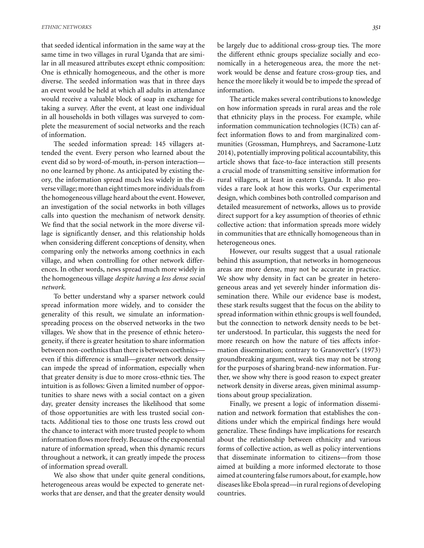that seeded identical information in the same way at the same time in two villages in rural Uganda that are similar in all measured attributes except ethnic composition: One is ethnically homogeneous, and the other is more diverse. The seeded information was that in three days an event would be held at which all adults in attendance would receive a valuable block of soap in exchange for taking a survey. After the event, at least one individual in all households in both villages was surveyed to complete the measurement of social networks and the reach of information.

The seeded information spread: 145 villagers attended the event. Every person who learned about the event did so by word-of-mouth, in-person interaction no one learned by phone. As anticipated by existing theory, the information spread much less widely in the diverse village; more than eight times more individuals from the homogeneous village heard about the event. However, an investigation of the social networks in both villages calls into question the mechanism of network density. We find that the social network in the more diverse village is significantly denser, and this relationship holds when considering different conceptions of density, when comparing only the networks among coethnics in each village, and when controlling for other network differences. In other words, news spread much more widely in the homogeneous village *despite having a less dense social network.*

To better understand why a sparser network could spread information more widely, and to consider the generality of this result, we simulate an informationspreading process on the observed networks in the two villages. We show that in the presence of ethnic heterogeneity, if there is greater hesitation to share information between non-coethnics than there is between coethnics even if this difference is small—greater network density can impede the spread of information, especially when that greater density is due to more cross-ethnic ties. The intuition is as follows: Given a limited number of opportunities to share news with a social contact on a given day, greater density increases the likelihood that some of those opportunities are with less trusted social contacts. Additional ties to those one trusts less crowd out the chance to interact with more trusted people to whom information flows more freely. Because of the exponential nature of information spread, when this dynamic recurs throughout a network, it can greatly impede the process of information spread overall.

We also show that under quite general conditions, heterogeneous areas would be expected to generate networks that are denser, and that the greater density would be largely due to additional cross-group ties. The more the different ethnic groups specialize socially and economically in a heterogeneous area, the more the network would be dense and feature cross-group ties, and hence the more likely it would be to impede the spread of information.

The article makes several contributions to knowledge on how information spreads in rural areas and the role that ethnicity plays in the process. For example, while information communication technologies (ICTs) can affect information flows to and from marginalized communities (Grossman, Humphreys, and Sacramone-Lutz 2014), potentially improving political accountability, this article shows that face-to-face interaction still presents a crucial mode of transmitting sensitive information for rural villagers, at least in eastern Uganda. It also provides a rare look at how this works. Our experimental design, which combines both controlled comparison and detailed measurement of networks, allows us to provide direct support for a key assumption of theories of ethnic collective action: that information spreads more widely in communities that are ethnically homogeneous than in heterogeneous ones.

However, our results suggest that a usual rationale behind this assumption, that networks in homogeneous areas are more dense, may not be accurate in practice. We show why density in fact can be greater in heterogeneous areas and yet severely hinder information dissemination there. While our evidence base is modest, these stark results suggest that the focus on the ability to spread information within ethnic groups is well founded, but the connection to network density needs to be better understood. In particular, this suggests the need for more research on how the nature of ties affects information dissemination; contrary to Granovetter's (1973) groundbreaking argument, weak ties may not be strong for the purposes of sharing brand-new information. Further, we show why there is good reason to expect greater network density in diverse areas, given minimal assumptions about group specialization.

Finally, we present a logic of information dissemination and network formation that establishes the conditions under which the empirical findings here would generalize. These findings have implications for research about the relationship between ethnicity and various forms of collective action, as well as policy interventions that disseminate information to citizens—from those aimed at building a more informed electorate to those aimed at countering false rumors about, for example, how diseases like Ebola spread—in rural regions of developing countries.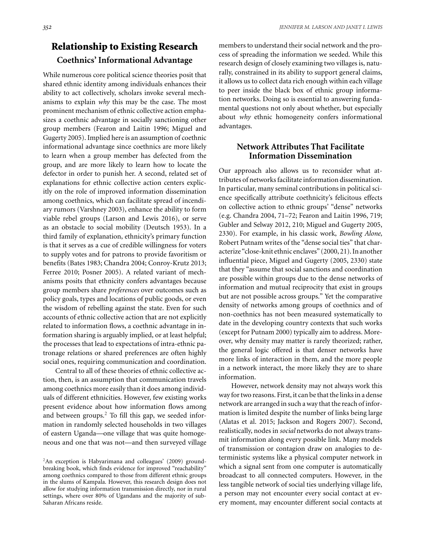# **Relationship to Existing Research Coethnics' Informational Advantage**

While numerous core political science theories posit that shared ethnic identity among individuals enhances their ability to act collectively, scholars invoke several mechanisms to explain *why* this may be the case. The most prominent mechanism of ethnic collective action emphasizes a coethnic advantage in socially sanctioning other group members (Fearon and Laitin 1996; Miguel and Gugerty 2005). Implied here is an assumption of coethnic informational advantage since coethnics are more likely to learn when a group member has defected from the group, and are more likely to learn how to locate the defector in order to punish her. A second, related set of explanations for ethnic collective action centers explicitly on the role of improved information dissemination among coethnics, which can facilitate spread of incendiary rumors (Varshney 2003), enhance the ability to form viable rebel groups (Larson and Lewis 2016), or serve as an obstacle to social mobility (Deutsch 1953). In a third family of explanation, ethnicity's primary function is that it serves as a cue of credible willingness for voters to supply votes and for patrons to provide favoritism or benefits (Bates 1983; Chandra 2004; Conroy-Krutz 2013; Ferree 2010; Posner 2005). A related variant of mechanisms posits that ethnicity confers advantages because group members share *preferences* over outcomes such as policy goals, types and locations of public goods, or even the wisdom of rebelling against the state. Even for such accounts of ethnic collective action that are not explicitly related to information flows, a coethnic advantage in information sharing is arguably implied, or at least helpful; the processes that lead to expectations of intra-ethnic patronage relations or shared preferences are often highly social ones, requiring communication and coordination.

Central to all of these theories of ethnic collective action, then, is an assumption that communication travels among coethnics more easily than it does among individuals of different ethnicities. However, few existing works present evidence about how information flows among and between groups. $2$  To fill this gap, we seeded information in randomly selected households in two villages of eastern Uganda—one village that was quite homogeneous and one that was not—and then surveyed village

members to understand their social network and the process of spreading the information we seeded. While this research design of closely examining two villages is, naturally, constrained in its ability to support general claims, it allows us to collect data rich enough within each village to peer inside the black box of ethnic group information networks. Doing so is essential to answering fundamental questions not only about whether, but especially about *why* ethnic homogeneity confers informational advantages.

#### **Network Attributes That Facilitate Information Dissemination**

Our approach also allows us to reconsider what attributes of networks facilitate information dissemination. In particular, many seminal contributions in political science specifically attribute coethnicity's felicitous effects on collective action to ethnic groups' "dense" networks (e.g. Chandra 2004, 71–72; Fearon and Laitin 1996, 719; Gubler and Selway 2012, 210; Miguel and Gugerty 2005, 2330). For example, in his classic work, *Bowling Alone,* Robert Putnam writes of the "dense social ties" that characterize "close-knit ethnic enclaves" (2000, 21). In another influential piece, Miguel and Gugerty (2005, 2330) state that they "assume that social sanctions and coordination are possible within groups due to the dense networks of information and mutual reciprocity that exist in groups but are not possible across groups." Yet the comparative density of networks among groups of coethnics and of non-coethnics has not been measured systematically to date in the developing country contexts that such works (except for Putnam 2000) typically aim to address. Moreover, why density may matter is rarely theorized; rather, the general logic offered is that denser networks have more links of interaction in them, and the more people in a network interact, the more likely they are to share information.

However, network density may not always work this wayfor two reasons. First, it can be that the links in a dense network are arranged in such a way that the reach of information is limited despite the number of links being large (Alatas et al. 2015; Jackson and Rogers 2007). Second, realistically, nodes in *social* networks do not always transmit information along every possible link. Many models of transmission or contagion draw on analogies to deterministic systems like a physical computer network in which a signal sent from one computer is automatically broadcast to all connected computers. However, in the less tangible network of social ties underlying village life, a person may not encounter every social contact at every moment, may encounter different social contacts at

<sup>&</sup>lt;sup>2</sup>An exception is Habyarimana and colleagues' (2009) groundbreaking book, which finds evidence for improved "reachability" among coethnics compared to those from different ethnic groups in the slums of Kampala. However, this research design does not allow for studying information transmission directly, nor in rural settings, where over 80% of Ugandans and the majority of sub-Saharan Africans reside.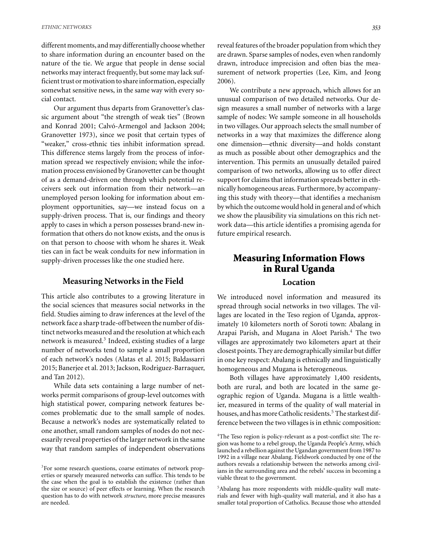different moments, and may differentially choose whether to share information during an encounter based on the nature of the tie. We argue that people in dense social networks may interact frequently, but some may lack sufficient trust or motivation to share information, especially somewhat sensitive news, in the same way with every social contact.

Our argument thus departs from Granovetter's classic argument about "the strength of weak ties" (Brown and Konrad 2001; Calvó-Armengol and Jackson 2004; Granovetter 1973), since we posit that certain types of "weaker," cross-ethnic ties inhibit information spread. This difference stems largely from the process of information spread we respectively envision; while the information process envisioned by Granovetter can be thought of as a demand-driven one through which potential receivers seek out information from their network—an unemployed person looking for information about employment opportunities, say—we instead focus on a supply-driven process. That is, our findings and theory apply to cases in which a person possesses brand-new information that others do not know exists, and the onus is on that person to choose with whom he shares it. Weak ties can in fact be weak conduits for new information in supply-driven processes like the one studied here.

#### **Measuring Networks in the Field**

This article also contributes to a growing literature in the social sciences that measures social networks in the field. Studies aiming to draw inferences at the level of the network face a sharp trade-off between the number of distinct networks measured and the resolution at which each network is measured.<sup>3</sup> Indeed, existing studies of a large number of networks tend to sample a small proportion of each network's nodes (Alatas et al. 2015; Baldassarri 2015; Banerjee et al. 2013; Jackson, Rodriguez-Barraquer, and Tan 2012).

While data sets containing a large number of networks permit comparisons of group-level outcomes with high statistical power, comparing network features becomes problematic due to the small sample of nodes. Because a network's nodes are systematically related to one another, small random samples of nodes do not necessarily reveal properties of the larger network in the same way that random samples of independent observations reveal features of the broader population from which they are drawn. Sparse samples of nodes, even when randomly drawn, introduce imprecision and often bias the measurement of network properties (Lee, Kim, and Jeong 2006).

We contribute a new approach, which allows for an unusual comparison of two detailed networks. Our design measures a small number of networks with a large sample of nodes: We sample someone in all households in two villages. Our approach selects the small number of networks in a way that maximizes the difference along one dimension—ethnic diversity—and holds constant as much as possible about other demographics and the intervention. This permits an unusually detailed paired comparison of two networks, allowing us to offer direct support for claims that information spreads better in ethnically homogeneous areas. Furthermore, by accompanying this study with theory—that identifies a mechanism by which the outcome would hold in general and of which we show the plausibility via simulations on this rich network data—this article identifies a promising agenda for future empirical research.

# **Measuring Information Flows in Rural Uganda**

# **Location**

We introduced novel information and measured its spread through social networks in two villages. The villages are located in the Teso region of Uganda, approximately 10 kilometers north of Soroti town: Abalang in Arapai Parish, and Mugana in Aloet Parish.<sup>4</sup> The two villages are approximately two kilometers apart at their closest points. They are demographically similar but differ in one key respect: Abalang is ethnically and linguistically homogeneous and Mugana is heterogeneous.

Both villages have approximately 1,400 residents, both are rural, and both are located in the same geographic region of Uganda. Mugana is a little wealthier, measured in terms of the quality of wall material in houses, and has more Catholic residents.<sup>5</sup> The starkest difference between the two villages is in ethnic composition:

<sup>&</sup>lt;sup>3</sup>For some research questions, coarse estimates of network properties or sparsely measured networks can suffice. This tends to be the case when the goal is to establish the existence (rather than the size or source) of peer effects or learning. When the research question has to do with network *structure*, more precise measures are needed.

<sup>&</sup>lt;sup>4</sup>The Teso region is policy-relevant as a post-conflict site: The region was home to a rebel group, the Uganda People's Army, which launched a rebellion against the Ugandan government from 1987 to 1992 in a village near Abalang. Fieldwork conducted by one of the authors reveals a relationship between the networks among civilians in the surrounding area and the rebels' success in becoming a viable threat to the government.

<sup>&</sup>lt;sup>5</sup>Abalang has more respondents with middle-quality wall materials and fewer with high-quality wall material, and it also has a smaller total proportion of Catholics. Because those who attended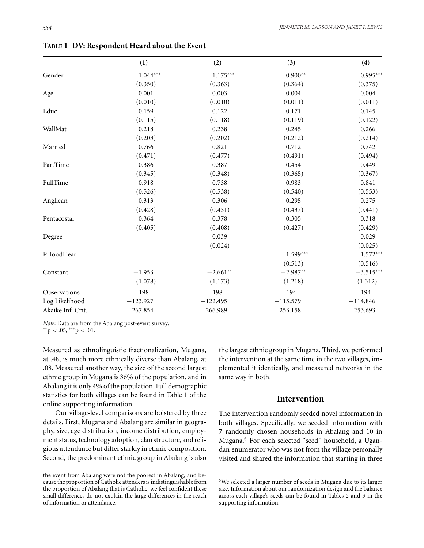|                   | (1)        | (2)        | (3)        | (4)         |
|-------------------|------------|------------|------------|-------------|
| Gender            | $1.044***$ | $1.175***$ | $0.900**$  | $0.995***$  |
|                   | (0.350)    | (0.363)    | (0.364)    | (0.375)     |
| Age               | 0.001      | 0.003      | 0.004      | 0.004       |
|                   | (0.010)    | (0.010)    | (0.011)    | (0.011)     |
| Educ              | 0.159      | 0.122      | 0.171      | 0.145       |
|                   | (0.115)    | (0.118)    | (0.119)    | (0.122)     |
| WallMat           | 0.218      | 0.238      | 0.245      | 0.266       |
|                   | (0.203)    | (0.202)    | (0.212)    | (0.214)     |
| Married           | 0.766      | 0.821      | 0.712      | 0.742       |
|                   | (0.471)    | (0.477)    | (0.491)    | (0.494)     |
| PartTime          | $-0.386$   | $-0.387$   | $-0.454$   | $-0.449$    |
|                   | (0.345)    | (0.348)    | (0.365)    | (0.367)     |
| FullTime          | $-0.918$   | $-0.738$   | $-0.983$   | $-0.841$    |
|                   | (0.526)    | (0.538)    | (0.540)    | (0.553)     |
| Anglican          | $-0.313$   | $-0.306$   | $-0.295$   | $-0.275$    |
|                   | (0.428)    | (0.431)    | (0.437)    | (0.441)     |
| Pentacostal       | 0.364      | 0.378      | 0.305      | 0.318       |
|                   | (0.405)    | (0.408)    | (0.427)    | (0.429)     |
| Degree            |            | 0.039      |            | 0.029       |
|                   |            | (0.024)    |            | (0.025)     |
| PHoodHear         |            |            | $1.599***$ | $1.572***$  |
|                   |            |            | (0.513)    | (0.516)     |
| Constant          | $-1.953$   | $-2.661**$ | $-2.987**$ | $-3.515***$ |
|                   | (1.078)    | (1.173)    | (1.218)    | (1.312)     |
| Observations      | 198        | 198        | 194        | 194         |
| Log Likelihood    | $-123.927$ | $-122.495$ | $-115.579$ | $-114.846$  |
| Akaike Inf. Crit. | 267.854    | 266.989    | 253.158    | 253.693     |

**TABLE 1 DV: Respondent Heard about the Event**

*Note*: Data are from the Abalang post-event survey.

∗∗p *<* .05, ∗∗∗p *<* .01.

Measured as ethnolinguistic fractionalization, Mugana, at .48, is much more ethnically diverse than Abalang, at .08. Measured another way, the size of the second largest ethnic group in Mugana is 36% of the population, and in Abalang it is only 4% of the population. Full demographic statistics for both villages can be found in Table 1 of the online supporting information.

Our village-level comparisons are bolstered by three details. First, Mugana and Abalang are similar in geography, size, age distribution, income distribution, employment status, technology adoption, clan structure, and religious attendance but differ starkly in ethnic composition. Second, the predominant ethnic group in Abalang is also the largest ethnic group in Mugana. Third, we performed the intervention at the same time in the two villages, implemented it identically, and measured networks in the same way in both.

#### **Intervention**

The intervention randomly seeded novel information in both villages. Specifically, we seeded information with 7 randomly chosen households in Abalang and 10 in Mugana.6 For each selected "seed" household, a Ugandan enumerator who was not from the village personally visited and shared the information that starting in three

the event from Abalang were not the poorest in Abalang, and because the proportion of Catholic attenders is indistinguishablefrom the proportion of Abalang that is Catholic, we feel confident these small differences do not explain the large differences in the reach of information or attendance.

<sup>&</sup>lt;sup>6</sup>We selected a larger number of seeds in Mugana due to its larger size. Information about our randomization design and the balance across each village's seeds can be found in Tables 2 and 3 in the supporting information.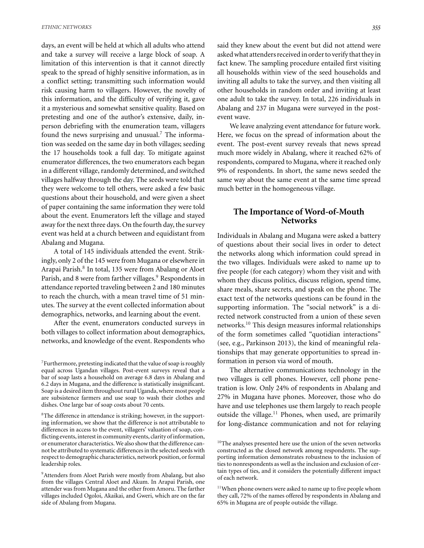days, an event will be held at which all adults who attend and take a survey will receive a large block of soap. A limitation of this intervention is that it cannot directly speak to the spread of highly sensitive information, as in a conflict setting; transmitting such information would risk causing harm to villagers. However, the novelty of this information, and the difficulty of verifying it, gave it a mysterious and somewhat sensitive quality. Based on pretesting and one of the author's extensive, daily, inperson debriefing with the enumeration team, villagers found the news surprising and unusual.<sup>7</sup> The information was seeded on the same day in both villages; seeding the 17 households took a full day. To mitigate against enumerator differences, the two enumerators each began in a different village, randomly determined, and switched villages halfway through the day. The seeds were told that they were welcome to tell others, were asked a few basic questions about their household, and were given a sheet of paper containing the same information they were told about the event. Enumerators left the village and stayed away for the next three days. On the fourth day, the survey event was held at a church between and equidistant from Abalang and Mugana.

A total of 145 individuals attended the event. Strikingly, only 2 of the 145 were from Mugana or elsewhere in Arapai Parish.8 In total, 135 were from Abalang or Aloet Parish, and 8 were from farther villages.<sup>9</sup> Respondents in attendance reported traveling between 2 and 180 minutes to reach the church, with a mean travel time of 51 minutes. The survey at the event collected information about demographics, networks, and learning about the event.

After the event, enumerators conducted surveys in both villages to collect information about demographics, networks, and knowledge of the event. Respondents who

<sup>8</sup>The difference in attendance is striking; however, in the supporting information, we show that the difference is not attributable to differences in access to the event, villagers' valuation of soap, conflicting events, interest in community events, clarity of information, or enumerator characteristics.We also show that the difference cannot be attributed to systematic differences in the selected seeds with respect to demographic characteristics, network position, or formal leadership roles.

<sup>9</sup>Attenders from Aloet Parish were mostly from Abalang, but also from the villages Central Aloet and Akum. In Arapai Parish, one attender was from Mugana and the other from Amoru. The farther villages included Ogoloi, Akaikai, and Gweri, which are on the far side of Abalang from Mugana.

said they knew about the event but did not attend were askedwhat attenders receivedin order to verify that theyin fact knew. The sampling procedure entailed first visiting all households within view of the seed households and inviting all adults to take the survey, and then visiting all other households in random order and inviting at least one adult to take the survey. In total, 226 individuals in Abalang and 237 in Mugana were surveyed in the postevent wave.

We leave analyzing event attendance for future work. Here, we focus on the spread of information about the event. The post-event survey reveals that news spread much more widely in Abalang, where it reached 62% of respondents, compared to Mugana, where it reached only 9% of respondents. In short, the same news seeded the same way about the same event at the same time spread much better in the homogeneous village.

#### **The Importance of Word-of-Mouth Networks**

Individuals in Abalang and Mugana were asked a battery of questions about their social lives in order to detect the networks along which information could spread in the two villages. Individuals were asked to name up to five people (for each category) whom they visit and with whom they discuss politics, discuss religion, spend time, share meals, share secrets, and speak on the phone. The exact text of the networks questions can be found in the supporting information. The "social network" is a directed network constructed from a union of these seven networks.<sup>10</sup> This design measures informal relationships of the form sometimes called "quotidian interactions" (see, e.g., Parkinson 2013), the kind of meaningful relationships that may generate opportunities to spread information in person via word of mouth.

The alternative communications technology in the two villages is cell phones. However, cell phone penetration is low. Only 24% of respondents in Abalang and 27% in Mugana have phones. Moreover, those who do have and use telephones use them largely to reach people outside the village.<sup>11</sup> Phones, when used, are primarily for long-distance communication and not for relaying

<sup>7</sup>Furthermore, pretesting indicated that the value of soap is roughly equal across Ugandan villages. Post-event surveys reveal that a bar of soap lasts a household on average 6.8 days in Abalang and 6.2 days in Mugana, and the difference is statistically insignificant. Soap is a desired item throughout rural Uganda, where most people are subsistence farmers and use soap to wash their clothes and dishes. One large bar of soap costs about 70 cents.

<sup>&</sup>lt;sup>10</sup>The analyses presented here use the union of the seven networks constructed as the closed network among respondents. The supporting information demonstrates robustness to the inclusion of ties to nonrespondents as well as the inclusion and exclusion of certain types of ties, and it considers the potentially different impact of each network.

<sup>&</sup>lt;sup>11</sup>When phone owners were asked to name up to five people whom they call, 72% of the names offered by respondents in Abalang and 65% in Mugana are of people outside the village.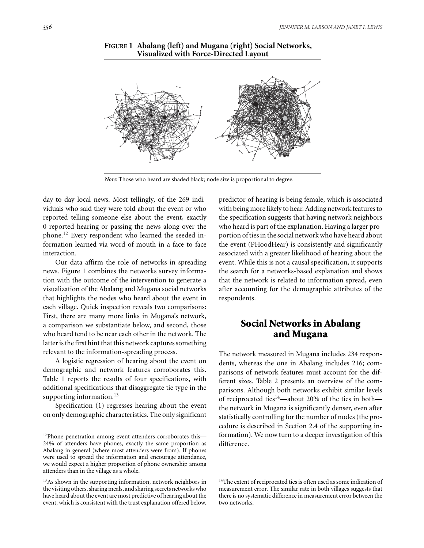

**FIGURE 1 Abalang (left) and Mugana (right) Social Networks, Visualized with Force-Directed Layout**

*Note*: Those who heard are shaded black; node size is proportional to degree.

day-to-day local news. Most tellingly, of the 269 individuals who said they were told about the event or who reported telling someone else about the event, exactly 0 reported hearing or passing the news along over the phone.12 Every respondent who learned the seeded information learned via word of mouth in a face-to-face interaction.

Our data affirm the role of networks in spreading news. Figure 1 combines the networks survey information with the outcome of the intervention to generate a visualization of the Abalang and Mugana social networks that highlights the nodes who heard about the event in each village. Quick inspection reveals two comparisons: First, there are many more links in Mugana's network, a comparison we substantiate below, and second, those who heard tend to be near each other in the network. The latter is the first hint that this network captures something relevant to the information-spreading process.

A logistic regression of hearing about the event on demographic and network features corroborates this. Table 1 reports the results of four specifications, with additional specifications that disaggregate tie type in the supporting information. $^{13}$ 

Specification (1) regresses hearing about the event on only demographic characteristics. The only significant predictor of hearing is being female, which is associated with being more likely to hear. Adding network features to the specification suggests that having network neighbors who heard is part of the explanation. Having a larger proportion of ties in the social network who have heard about the event (PHoodHear) is consistently and significantly associated with a greater likelihood of hearing about the event. While this is not a causal specification, it supports the search for a networks-based explanation and shows that the network is related to information spread, even after accounting for the demographic attributes of the respondents.

## **Social Networks in Abalang and Mugana**

The network measured in Mugana includes 234 respondents, whereas the one in Abalang includes 216; comparisons of network features must account for the different sizes. Table 2 presents an overview of the comparisons. Although both networks exhibit similar levels of reciprocated ties<sup>14</sup>—about 20% of the ties in both the network in Mugana is significantly denser, even after statistically controlling for the number of nodes (the procedure is described in Section 2.4 of the supporting information). We now turn to a deeper investigation of this difference.

<sup>&</sup>lt;sup>12</sup>Phone penetration among event attenders corroborates this— 24% of attenders have phones, exactly the same proportion as Abalang in general (where most attenders were from). If phones were used to spread the information and encourage attendance, we would expect a higher proportion of phone ownership among attenders than in the village as a whole.

<sup>&</sup>lt;sup>13</sup>As shown in the supporting information, network neighbors in the visiting others, sharing meals, and sharing secrets networks who have heard about the event are most predictive of hearing about the event, which is consistent with the trust explanation offered below.

<sup>&</sup>lt;sup>14</sup>The extent of reciprocated ties is often used as some indication of measurement error. The similar rate in both villages suggests that there is no systematic difference in measurement error between the two networks.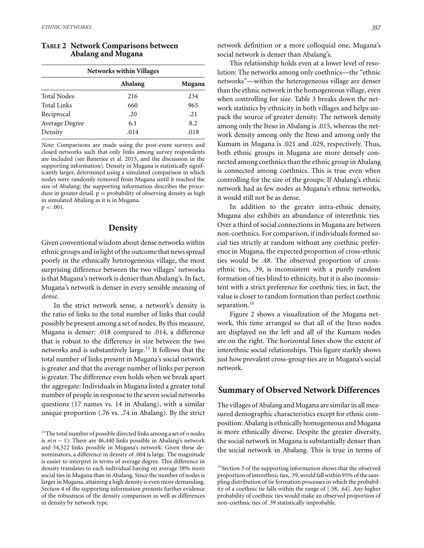|                    | <b>Networks within Villages</b> |               |  |  |
|--------------------|---------------------------------|---------------|--|--|
|                    | Abalang                         | <b>Mugana</b> |  |  |
| <b>Total Nodes</b> | 216                             | 234           |  |  |
| <b>Total Links</b> | 660                             | 965           |  |  |
| Reciprocal         | .20                             | .21           |  |  |
| Average Degree     | 6.1                             | 8.2           |  |  |
| Density            | .014                            | .018          |  |  |

#### **TABLE 2 Network Comparisons between Abalang and Mugana**

*Note*: Comparisons are made using the post-event surveys and closed networks such that only links among survey respondents are included (see Banerjee et al. 2013, and the discussion in the supporting information). Density in Mugana is statistically significantly larger, determined using a simulated comparison in which nodes were randomly removed from Mugana until it reached the size of Abalang; the supporting information describes the procedure in greater detail.  $p =$  probability of observing density as high in simulated Abalang as it is in Mugana.  $p < .001$ .

#### **Density**

Given conventional wisdom about dense networks within ethnic groups and in light of the outcome that news spread poorly in the ethnically heterogeneous village, the most surprising difference between the two villages' networks is that Mugana's network is denser than Abalang's. In fact, Mugana's network is denser in every sensible meaning of *dense*.

In the strict network sense, a network's density is the ratio of links to the total number of links that could possibly be present among a set of nodes. By this measure, Mugana is denser: .018 compared to .014, a difference that is robust to the difference in size between the two networks and is substantively large.<sup>15</sup> It follows that the total number of links present in Mugana's social network is greater and that the average number of links per person is greater. The difference even holds when we break apart the aggregate: Individuals in Mugana listed a greater total number of people in response to the seven social networks questions (17 names vs. 14 in Abalang), with a similar unique proportion (.76 vs. .74 in Abalang). By the strict network definition or a more colloquial one, Mugana's social network is denser than Abalang's.

This relationship holds even at a lower level of resolution: The networks among only coethnics—the "ethnic networks"—within the heterogeneous village are denser than the ethnic network in the homogeneous village, even when controlling for size. Table 3 breaks down the network statistics by ethnicity in both villages and helps unpack the source of greater density. The network density among only the Iteso in Abalang is .015, whereas the network density among only the Iteso and among only the Kumam in Mugana is .021 and .029, respectively. Thus, both ethnic groups in Mugana are more densely connected among coethnics than the ethnic group in Abalang is connected among coethnics. This is true even when controlling for the size of the groups: If Abalang's ethnic network had as few nodes as Mugana's ethnic networks, it would still not be as dense.

In addition to the greater intra-ethnic density, Mugana also exhibits an abundance of interethnic ties. Over a third of social connections in Mugana are between non-coethnics. For comparison, if individuals formed social ties strictly at random without any coethnic preference in Mugana, the expected proportion of cross-ethnic ties would be .48. The observed proportion of crossethnic ties, .39, is inconsistent with a purely random formation of ties blind to ethnicity, but it is also inconsistent with a strict preference for coethnic ties; in fact, the value is closer to random formation than perfect coethnic separation.<sup>16</sup>

Figure 2 shows a visualization of the Mugana network, this time arranged so that all of the Iteso nodes are displayed on the left and all of the Kumam nodes are on the right. The horizontal lines show the extent of interethnic social relationships. This figure starkly shows just how prevalent cross-group ties are in Mugana's social network.

#### **Summary of Observed Network Differences**

The villages of Abalang and Mugana are similar in all measured demographic characteristics except for ethnic composition: Abalang is ethnically homogeneous and Mugana is more ethnically diverse. Despite the greater diversity, the social network in Mugana is substantially denser than the social network in Abalang. This is true in terms of

<sup>15</sup>The total number of possible directed links among a set of *n* nodes is  $n(n-1)$ : There are 46,440 links possible in Abalang's network and 54,522 links possible in Mugana's network. Given these denominators, a difference in density of .004 is large. The magnitude is easier to interpret in terms of average degree. This difference in density translates to each individual having on average 38% more social ties in Mugana than in Abalang. Since the number of nodes is larger in Mugana, attaining a high density is even more demanding. Section 4 of the supporting information presents further evidence of the robustness of the density comparison as well as differences in density by network type.

<sup>&</sup>lt;sup>16</sup> Section 3 of the supporting information shows that the observed proportion of interethnic ties, .39, would fall within 95% of the sampling distribution of tie formation processes in which the probability of a coethnic tie falls within the range of [*.*58*, .*64]. Any higher probability of coethnic ties would make an observed proportion of non-coethnic ties of .39 statistically improbable.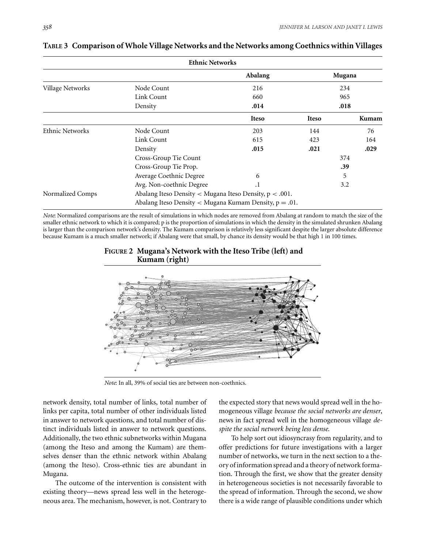| <b>Ethnic Networks</b> |                                                                                                                         |              |              |        |  |
|------------------------|-------------------------------------------------------------------------------------------------------------------------|--------------|--------------|--------|--|
|                        | Abalang                                                                                                                 |              |              | Mugana |  |
| Village Networks       | Node Count                                                                                                              | 216          | 234          |        |  |
|                        | Link Count                                                                                                              | 660          | 965          |        |  |
|                        | Density                                                                                                                 | .014         | .018         |        |  |
|                        |                                                                                                                         | <b>Iteso</b> | <b>Iteso</b> | Kumam  |  |
| Ethnic Networks        | Node Count                                                                                                              | 203          | 144          | 76     |  |
|                        | Link Count                                                                                                              | 615          | 423          | 164    |  |
|                        | Density                                                                                                                 | .015         | .021         | .029   |  |
|                        | Cross-Group Tie Count                                                                                                   |              |              | 374    |  |
|                        | Cross-Group Tie Prop.                                                                                                   |              |              | .39    |  |
|                        | Average Coethnic Degree                                                                                                 | 6            | 5            |        |  |
|                        | Avg. Non-coethnic Degree                                                                                                | $\cdot$      | 3.2          |        |  |
| Normalized Comps       | Abalang Iteso Density < Mugana Iteso Density, $p < .001$ .<br>Abalang Iteso Density < Mugana Kumam Density, $p = .01$ . |              |              |        |  |

#### **TABLE 3 Comparison of Whole Village Networks and the Networks among Coethnics within Villages**

*Note*: Normalized comparisons are the result of simulations in which nodes are removed from Abalang at random to match the size of the smaller ethnic network to which it is compared; p is the proportion of simulations in which the density in the simulated shrunken Abalang is larger than the comparison network's density. The Kumam comparison is relatively less significant despite the larger absolute difference because Kumam is a much smaller network; if Abalang were that small, by chance its density would be that high 1 in 100 times.

#### **FIGURE 2 Mugana's Network with the Iteso Tribe (left) and Kumam (right)**



*Note*: In all, 39% of social ties are between non-coethnics.

network density, total number of links, total number of links per capita, total number of other individuals listed in answer to network questions, and total number of distinct individuals listed in answer to network questions. Additionally, the two ethnic subnetworks within Mugana (among the Iteso and among the Kumam) are themselves denser than the ethnic network within Abalang (among the Iteso). Cross-ethnic ties are abundant in Mugana.

The outcome of the intervention is consistent with existing theory—news spread less well in the heterogeneous area. The mechanism, however, is not. Contrary to

the expected story that news would spread well in the homogeneous village *because the social networks are denser*, news in fact spread well in the homogeneous village *despite the social network being less dense*.

To help sort out idiosyncrasy from regularity, and to offer predictions for future investigations with a larger number of networks, we turn in the next section to a theory of information spread and a theory of network formation. Through the first, we show that the greater density in heterogeneous societies is not necessarily favorable to the spread of information. Through the second, we show there is a wide range of plausible conditions under which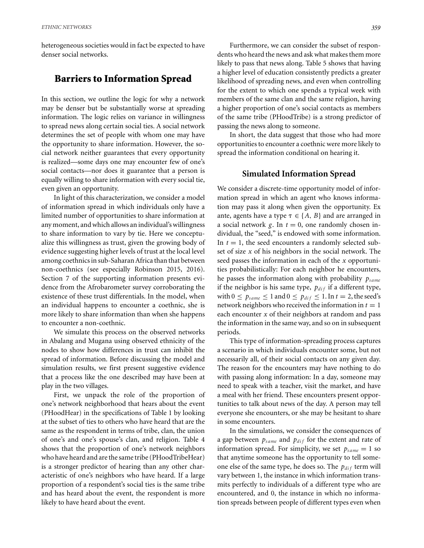heterogeneous societies would in fact be expected to have denser social networks.

# **Barriers to Information Spread**

In this section, we outline the logic for why a network may be denser but be substantially worse at spreading information. The logic relies on variance in willingness to spread news along certain social ties. A social network determines the set of people with whom one may have the opportunity to share information. However, the social network neither guarantees that every opportunity is realized—some days one may encounter few of one's social contacts—nor does it guarantee that a person is equally willing to share information with every social tie, even given an opportunity.

In light of this characterization, we consider a model of information spread in which individuals only have a limited number of opportunities to share information at any moment, and which allows an individual's willingness to share information to vary by tie. Here we conceptualize this willingness as trust, given the growing body of evidence suggesting higher levels of trust at the local level among coethnics in sub-Saharan Africa than that between non-coethnics (see especially Robinson 2015, 2016). Section 7 of the supporting information presents evidence from the Afrobarometer survey corroborating the existence of these trust differentials. In the model, when an individual happens to encounter a coethnic, she is more likely to share information than when she happens to encounter a non-coethnic.

We simulate this process on the observed networks in Abalang and Mugana using observed ethnicity of the nodes to show how differences in trust can inhibit the spread of information. Before discussing the model and simulation results, we first present suggestive evidence that a process like the one described may have been at play in the two villages.

First, we unpack the role of the proportion of one's network neighborhood that hears about the event (PHoodHear) in the specifications of Table 1 by looking at the subset of ties to others who have heard that are the same as the respondent in terms of tribe, clan, the union of one's and one's spouse's clan, and religion. Table 4 shows that the proportion of one's network neighbors who have heard and are the same tribe (PHoodTribeHear) is a stronger predictor of hearing than any other characteristic of one's neighbors who have heard. If a large proportion of a respondent's social ties is the same tribe and has heard about the event, the respondent is more likely to have heard about the event.

Furthermore, we can consider the subset of respondents who heard the news and ask what makes them more likely to pass that news along. Table 5 shows that having a higher level of education consistently predicts a greater likelihood of spreading news, and even when controlling for the extent to which one spends a typical week with members of the same clan and the same religion, having a higher proportion of one's social contacts as members of the same tribe (PHoodTribe) is a strong predictor of passing the news along to someone.

In short, the data suggest that those who had more opportunities to encounter a coethnic were more likely to spread the information conditional on hearing it.

#### **Simulated Information Spread**

We consider a discrete-time opportunity model of information spread in which an agent who knows information may pass it along when given the opportunity. Ex ante, agents have a type  $\tau \in \{A, B\}$  and are arranged in a social network  $g$ . In  $t = 0$ , one randomly chosen individual, the "seed," is endowed with some information. In  $t = 1$ , the seed encounters a randomly selected subset of size *x* of his neighbors in the social network. The seed passes the information in each of the *x* opportunities probabilistically: For each neighbor he encounters, he passes the information along with probability  $p_{same}$ if the neighbor is his same type, *pdif* if a different type, with  $0 \le p_{same} \le 1$  and  $0 \le p_{dif} \le 1$ . In  $t = 2$ , the seed's network neighbors who received the information in  $t = 1$ each encounter *x* of their neighbors at random and pass the information in the same way, and so on in subsequent periods.

This type of information-spreading process captures a scenario in which individuals encounter some, but not necessarily all, of their social contacts on any given day. The reason for the encounters may have nothing to do with passing along information: In a day, someone may need to speak with a teacher, visit the market, and have a meal with her friend. These encounters present opportunities to talk about news of the day. A person may tell everyone she encounters, or she may be hesitant to share in some encounters.

In the simulations, we consider the consequences of a gap between  $p_{same}$  and  $p_{dif}$  for the extent and rate of information spread. For simplicity, we set  $p_{same} = 1$  so that anytime someone has the opportunity to tell someone else of the same type, he does so. The *pdif* term will vary between 1, the instance in which information transmits perfectly to individuals of a different type who are encountered, and 0, the instance in which no information spreads between people of different types even when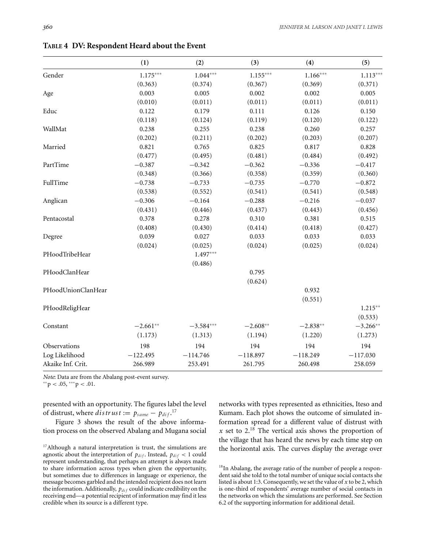|                    | (1)        | (2)         | (3)        | (4)        | (5)        |
|--------------------|------------|-------------|------------|------------|------------|
| Gender             | $1.175***$ | $1.044***$  | $1.155***$ | $1.166***$ | $1.113***$ |
|                    | (0.363)    | (0.374)     | (0.367)    | (0.369)    | (0.371)    |
| Age                | 0.003      | 0.005       | 0.002      | 0.002      | 0.005      |
|                    | (0.010)    | (0.011)     | (0.011)    | (0.011)    | (0.011)    |
| Educ               | 0.122      | 0.179       | 0.111      | 0.126      | 0.150      |
|                    | (0.118)    | (0.124)     | (0.119)    | (0.120)    | (0.122)    |
| WallMat            | 0.238      | 0.255       | 0.238      | 0.260      | 0.257      |
|                    | (0.202)    | (0.211)     | (0.202)    | (0.203)    | (0.207)    |
| Married            | 0.821      | 0.765       | 0.825      | 0.817      | 0.828      |
|                    | (0.477)    | (0.495)     | (0.481)    | (0.484)    | (0.492)    |
| PartTime           | $-0.387$   | $-0.342$    | $-0.362$   | $-0.336$   | $-0.417$   |
|                    | (0.348)    | (0.366)     | (0.358)    | (0.359)    | (0.360)    |
| FullTime           | $-0.738$   | $-0.733$    | $-0.735$   | $-0.770$   | $-0.872$   |
|                    | (0.538)    | (0.552)     | (0.541)    | (0.541)    | (0.548)    |
| Anglican           | $-0.306$   | $-0.164$    | $-0.288$   | $-0.216$   | $-0.037$   |
|                    | (0.431)    | (0.446)     | (0.437)    | (0.443)    | (0.456)    |
| Pentacostal        | 0.378      | 0.278       | 0.310      | 0.381      | 0.515      |
|                    | (0.408)    | (0.430)     | (0.414)    | (0.418)    | (0.427)    |
| Degree             | 0.039      | 0.027       | 0.033      | 0.033      | 0.033      |
|                    | (0.024)    | (0.025)     | (0.024)    | (0.025)    | (0.024)    |
| PHoodTribeHear     |            | $1.497***$  |            |            |            |
|                    |            | (0.486)     |            |            |            |
| PHoodClanHear      |            |             | 0.795      |            |            |
|                    |            |             | (0.624)    |            |            |
| PHoodUnionClanHear |            |             |            | 0.932      |            |
|                    |            |             |            | (0.551)    |            |
| PHoodReligHear     |            |             |            |            | $1.215***$ |
|                    |            |             |            |            | (0.533)    |
| Constant           | $-2.661**$ | $-3.584***$ | $-2.608**$ | $-2.838**$ | $-3.266**$ |
|                    | (1.173)    | (1.313)     | (1.194)    | (1.220)    | (1.273)    |
| Observations       | 198        | 194         | 194        | 194        | 194        |
| Log Likelihood     | $-122.495$ | $-114.746$  | $-118.897$ | $-118.249$ | $-117.030$ |
| Akaike Inf. Crit.  | 266.989    | 253.491     | 261.795    | 260.498    | 258.059    |

**TABLE 4 DV: Respondent Heard about the Event**

*Note*: Data are from the Abalang post-event survey.

∗∗p *<* .05, ∗∗∗p *<* .01.

presented with an opportunity. The figures label the level of distrust, where  $distrust := p_{same} - p_{dif}.^{17}$ 

Figure 3 shows the result of the above information process on the observed Abalang and Mugana social

<sup>17</sup>Although a natural interpretation is trust, the simulations are agnostic about the interpretation of  $p_{dif}$ . Instead,  $p_{dif} < 1$  could represent understanding, that perhaps an attempt is always made to share information across types when given the opportunity, but sometimes due to differences in language or experience, the message becomes garbled and the intended recipient does not learn the information. Additionally,  $p_{dif}$  could indicate credibility on the receiving end—a potential recipient of information may find it less credible when its source is a different type.

networks with types represented as ethnicities, Iteso and Kumam. Each plot shows the outcome of simulated information spread for a different value of distrust with *x* set to  $2^{18}$ . The vertical axis shows the proportion of the village that has heard the news by each time step on the horizontal axis. The curves display the average over

<sup>18</sup>In Abalang, the average ratio of the number of people a respondent said she told to the total number of unique social contacts she listed is about 1:3. Consequently, we set the value of *x* to be 2, which is one-third of respondents' average number of social contacts in the networks on which the simulations are performed. See Section 6.2 of the supporting information for additional detail.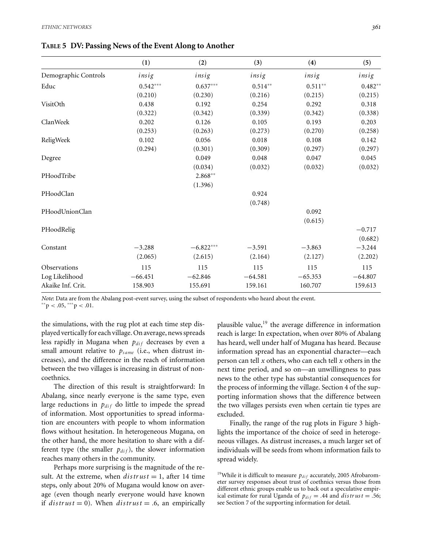|                      | (1)        | (2)         | (3)       | (4)       | (5)       |
|----------------------|------------|-------------|-----------|-----------|-----------|
| Demographic Controls | insig      | insig       | insig     | insig     | insig     |
| Educ                 | $0.542***$ | $0.637***$  | $0.514**$ | $0.511**$ | $0.482**$ |
|                      | (0.210)    | (0.230)     | (0.216)   | (0.215)   | (0.215)   |
| VisitOth             | 0.438      | 0.192       | 0.254     | 0.292     | 0.318     |
|                      | (0.322)    | (0.342)     | (0.339)   | (0.342)   | (0.338)   |
| ClanWeek             | 0.202      | 0.126       | 0.105     | 0.193     | 0.203     |
|                      | (0.253)    | (0.263)     | (0.273)   | (0.270)   | (0.258)   |
| ReligWeek            | 0.102      | 0.056       | 0.018     | 0.108     | 0.142     |
|                      | (0.294)    | (0.301)     | (0.309)   | (0.297)   | (0.297)   |
| Degree               |            | 0.049       | 0.048     | 0.047     | 0.045     |
|                      |            | (0.034)     | (0.032)   | (0.032)   | (0.032)   |
| PHoodTribe           |            | 2.868**     |           |           |           |
|                      |            | (1.396)     |           |           |           |
| PHoodClan            |            |             | 0.924     |           |           |
|                      |            |             | (0.748)   |           |           |
| PHoodUnionClan       |            |             |           | 0.092     |           |
|                      |            |             |           | (0.615)   |           |
| PHoodRelig           |            |             |           |           | $-0.717$  |
|                      |            |             |           |           | (0.682)   |
| Constant             | $-3.288$   | $-6.822***$ | $-3.591$  | $-3.863$  | $-3.244$  |
|                      | (2.065)    | (2.615)     | (2.164)   | (2.127)   | (2.202)   |
| Observations         | 115        | 115         | 115       | 115       | 115       |
| Log Likelihood       | $-66.451$  | $-62.846$   | $-64.581$ | $-65.353$ | $-64.807$ |
| Akaike Inf. Crit.    | 158.903    | 155.691     | 159.161   | 160.707   | 159.613   |

**TABLE 5 DV: Passing News of the Event Along to Another**

*Note*: Data are from the Abalang post-event survey, using the subset of respondents who heard about the event. ∗∗p *<* .05, ∗∗∗p *<* .01.

the simulations, with the rug plot at each time step displayed verticallyfor each village. On average, news spreads less rapidly in Mugana when  $p_{dif}$  decreases by even a small amount relative to  $p_{same}$  (i.e., when distrust increases), and the difference in the reach of information between the two villages is increasing in distrust of noncoethnics.

The direction of this result is straightforward: In Abalang, since nearly everyone is the same type, even large reductions in  $p_{dif}$  do little to impede the spread of information. Most opportunities to spread information are encounters with people to whom information flows without hesitation. In heterogeneous Mugana, on the other hand, the more hesitation to share with a different type (the smaller  $p_{dif}$ ), the slower information reaches many others in the community.

Perhaps more surprising is the magnitude of the result. At the extreme, when  $distrust = 1$ , after 14 time steps, only about 20% of Mugana would know on average (even though nearly everyone would have known if  $distrust = 0$ ). When  $distrust = .6$ , an empirically

plausible value, $19$  the average difference in information reach is large: In expectation, when over 80% of Abalang has heard, well under half of Mugana has heard. Because information spread has an exponential character—each person can tell *x* others, who can each tell *x* others in the next time period, and so on—an unwillingness to pass news to the other type has substantial consequences for the process of informing the village. Section 4 of the supporting information shows that the difference between the two villages persists even when certain tie types are excluded.

Finally, the range of the rug plots in Figure 3 highlights the importance of the choice of seed in heterogeneous villages. As distrust increases, a much larger set of individuals will be seeds from whom information fails to spread widely.

<sup>19</sup>While it is difficult to measure  $p_{dif}$  accurately, 2005 Afrobarometer survey responses about trust of coethnics versus those from different ethnic groups enable us to back out a speculative empirical estimate for rural Uganda of  $p_{dif} = .44$  and  $distrust = .56$ ; see Section 7 of the supporting information for detail.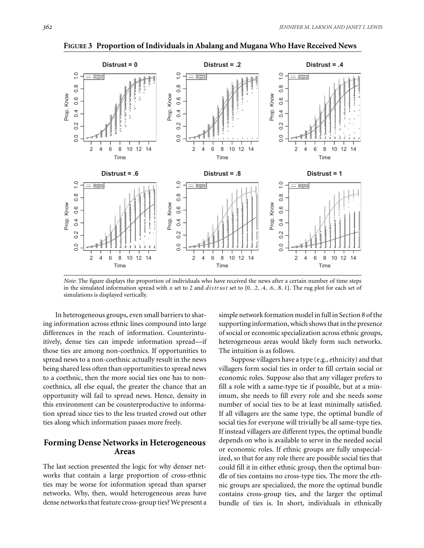

**FIGURE 3 Proportion of Individuals in Abalang and Mugana Who Have Received News**

*Note*: The figure displays the proportion of individuals who have received the news after a certain number of time steps in the simulated information spread with *x* set to 2 and *distr ust* set to {0*, .*2*, .*4*, .*6*, .*8*,* 1}. The rug plot for each set of simulations is displayed vertically.

In heterogeneous groups, even small barriers to sharing information across ethnic lines compound into large differences in the reach of information. Counterintuitively, dense ties can impede information spread—if those ties are among non-coethnics. If opportunities to spread news to a non-coethnic actually result in the news being shared less often than opportunities to spread news to a coethnic, then the more social ties one has to noncoethnics, all else equal, the greater the chance that an opportunity will fail to spread news. Hence, density in this environment can be counterproductive to information spread since ties to the less trusted crowd out other ties along which information passes more freely.

#### **Forming Dense Networks in Heterogeneous Areas**

The last section presented the logic for why denser networks that contain a large proportion of cross-ethnic ties may be worse for information spread than sparser networks. Why, then, would heterogeneous areas have dense networks that feature cross-group ties?We present a simple network formation model in full in Section 8 of the supporting information, which shows that in the presence of social or economic specialization across ethnic groups, heterogeneous areas would likely form such networks. The intuition is as follows.

Suppose villagers have a type (e.g., ethnicity) and that villagers form social ties in order to fill certain social or economic roles. Suppose also that any villager prefers to fill a role with a same-type tie if possible, but at a minimum, she needs to fill every role and she needs some number of social ties to be at least minimally satisfied. If all villagers are the same type, the optimal bundle of social ties for everyone will trivially be all same-type ties. If instead villagers are different types, the optimal bundle depends on who is available to serve in the needed social or economic roles. If ethnic groups are fully unspecialized, so that for any role there are possible social ties that could fill it in either ethnic group, then the optimal bundle of ties contains no cross-type ties. The more the ethnic groups are specialized, the more the optimal bundle contains cross-group ties, and the larger the optimal bundle of ties is. In short, individuals in ethnically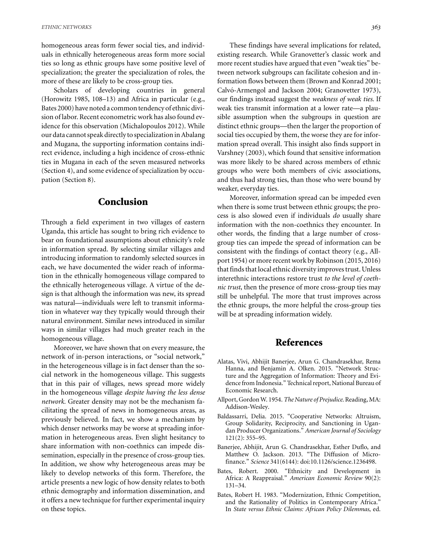homogeneous areas form fewer social ties, and individuals in ethnically heterogeneous areas form more social ties so long as ethnic groups have some positive level of specialization; the greater the specialization of roles, the more of these are likely to be cross-group ties.

Scholars of developing countries in general (Horowitz 1985, 108–13) and Africa in particular (e.g., Bates 2000) have noted a common tendency of ethnic division of labor. Recent econometric work has also found evidence for this observation (Michalopoulos 2012). While our data cannot speak directly to specialization in Abalang and Mugana, the supporting information contains indirect evidence, including a high incidence of cross-ethnic ties in Mugana in each of the seven measured networks (Section 4), and some evidence of specialization by occupation (Section 8).

### **Conclusion**

Through a field experiment in two villages of eastern Uganda, this article has sought to bring rich evidence to bear on foundational assumptions about ethnicity's role in information spread. By selecting similar villages and introducing information to randomly selected sources in each, we have documented the wider reach of information in the ethnically homogeneous village compared to the ethnically heterogeneous village. A virtue of the design is that although the information was new, its spread was natural—individuals were left to transmit information in whatever way they typically would through their natural environment. Similar news introduced in similar ways in similar villages had much greater reach in the homogeneous village.

Moreover, we have shown that on every measure, the network of in-person interactions, or "social network," in the heterogeneous village is in fact denser than the social network in the homogeneous village. This suggests that in this pair of villages, news spread more widely in the homogeneous village *despite having the less dense network.* Greater density may not be the mechanism facilitating the spread of news in homogeneous areas, as previously believed. In fact, we show a mechanism by which denser networks may be worse at spreading information in heterogeneous areas. Even slight hesitancy to share information with non-coethnics can impede dissemination, especially in the presence of cross-group ties. In addition, we show why heterogeneous areas may be likely to develop networks of this form. Therefore, the article presents a new logic of how density relates to both ethnic demography and information dissemination, and it offers a new technique for further experimental inquiry on these topics.

These findings have several implications for related, existing research. While Granovetter's classic work and more recent studies have argued that even "weak ties" between network subgroups can facilitate cohesion and information flows between them (Brown and Konrad 2001; Calvó-Armengol and Jackson 2004; Granovetter 1973), our findings instead suggest the *weakness of weak ties*. If weak ties transmit information at a lower rate—a plausible assumption when the subgroups in question are distinct ethnic groups—then the larger the proportion of social ties occupied by them, the worse they are for information spread overall. This insight also finds support in Varshney (2003), which found that sensitive information was more likely to be shared across members of ethnic groups who were both members of civic associations, and thus had strong ties, than those who were bound by weaker, everyday ties.

Moreover, information spread can be impeded even when there is some trust between ethnic groups; the process is also slowed even if individuals *do* usually share information with the non-coethnics they encounter. In other words, the finding that a large number of crossgroup ties can impede the spread of information can be consistent with the findings of contact theory (e.g., Allport 1954) or more recent work by Robinson (2015, 2016) that finds that local ethnic diversity improves trust. Unless interethnic interactions restore trust *to the level of coethnic trust*, then the presence of more cross-group ties may still be unhelpful. The more that trust improves across the ethnic groups, the more helpful the cross-group ties will be at spreading information widely.

# **References**

- Alatas, Vivi, Abhijit Banerjee, Arun G. Chandrasekhar, Rema Hanna, and Benjamin A. Olken. 2015. "Network Structure and the Aggregation of Information: Theory and Evidence from Indonesia." Technical report, National Bureau of Economic Research.
- Allport, GordonW. 1954. *The Nature of Prejudice*. Reading, MA: Addison-Wesley.
- Baldassarri, Delia. 2015. "Cooperative Networks: Altruism, Group Solidarity, Reciprocity, and Sanctioning in Ugandan Producer Organizations." *American Journal of Sociology* 121(2): 355–95.
- Banerjee, Abhijit, Arun G. Chandrasekhar, Esther Duflo, and Matthew O. Jackson. 2013. "The Diffusion of Microfinance." *Science* 341(6144): doi:10.1126/science.1236498.
- Bates, Robert. 2000. "Ethnicity and Development in Africa: A Reappraisal." *American Economic Review* 90(2): 131–34.
- Bates, Robert H. 1983. "Modernization, Ethnic Competition, and the Rationality of Politics in Contemporary Africa." In *State versus Ethnic Claims: African Policy Dilemmas*, ed.